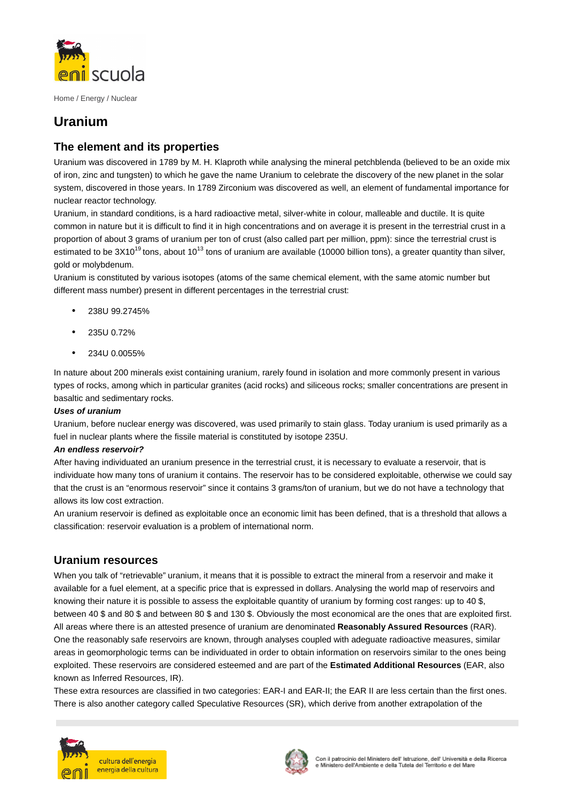

Home / Energy / Nuclear

# **Uranium**

## **The element and its properties**

Uranium was discovered in 1789 by M. H. Klaproth while analysing the mineral petchblenda (believed to be an oxide mix of iron, zinc and tungsten) to which he gave the name Uranium to celebrate the discovery of the new planet in the solar system, discovered in those years. In 1789 Zirconium was discovered as well, an element of fundamental importance for nuclear reactor technology.

Uranium, in standard conditions, is a hard radioactive metal, silver-white in colour, malleable and ductile. It is quite common in nature but it is difficult to find it in high concentrations and on average it is present in the terrestrial crust in a proportion of about 3 grams of uranium per ton of crust (also called part per million, ppm): since the terrestrial crust is estimated to be  $3X10^{19}$  tons, about  $10^{13}$  tons of uranium are available (10000 billion tons), a greater quantity than silver, gold or molybdenum.

Uranium is constituted by various isotopes (atoms of the same chemical element, with the same atomic number but different mass number) present in different percentages in the terrestrial crust:

- 238U 99.2745%
- $23511072%$
- 234U 0.0055%

In nature about 200 minerals exist containing uranium, rarely found in isolation and more commonly present in various types of rocks, among which in particular granites (acid rocks) and siliceous rocks; smaller concentrations are present in basaltic and sedimentary rocks.

#### **Uses of uranium**

Uranium, before nuclear energy was discovered, was used primarily to stain glass. Today uranium is used primarily as a fuel in nuclear plants where the fissile material is constituted by isotope 235U.

#### **An endless reservoir?**

After having individuated an uranium presence in the terrestrial crust, it is necessary to evaluate a reservoir, that is individuate how many tons of uranium it contains. The reservoir has to be considered exploitable, otherwise we could say that the crust is an "enormous reservoir" since it contains 3 grams/ton of uranium, but we do not have a technology that allows its low cost extraction.

An uranium reservoir is defined as exploitable once an economic limit has been defined, that is a threshold that allows a classification: reservoir evaluation is a problem of international norm.

### **Uranium resources**

When you talk of "retrievable" uranium, it means that it is possible to extract the mineral from a reservoir and make it available for a fuel element, at a specific price that is expressed in dollars. Analysing the world map of reservoirs and knowing their nature it is possible to assess the exploitable quantity of uranium by forming cost ranges: up to 40 \$, between 40 \$ and 80 \$ and between 80 \$ and 130 \$. Obviously the most economical are the ones that are exploited first. All areas where there is an attested presence of uranium are denominated **Reasonably Assured Resources** (RAR). One the reasonably safe reservoirs are known, through analyses coupled with adeguate radioactive measures, similar areas in geomorphologic terms can be individuated in order to obtain information on reservoirs similar to the ones being exploited. These reservoirs are considered esteemed and are part of the **Estimated Additional Resources** (EAR, also known as Inferred Resources, IR).

These extra resources are classified in two categories: EAR-I and EAR-II; the EAR II are less certain than the first ones. There is also another category called Speculative Resources (SR), which derive from another extrapolation of the



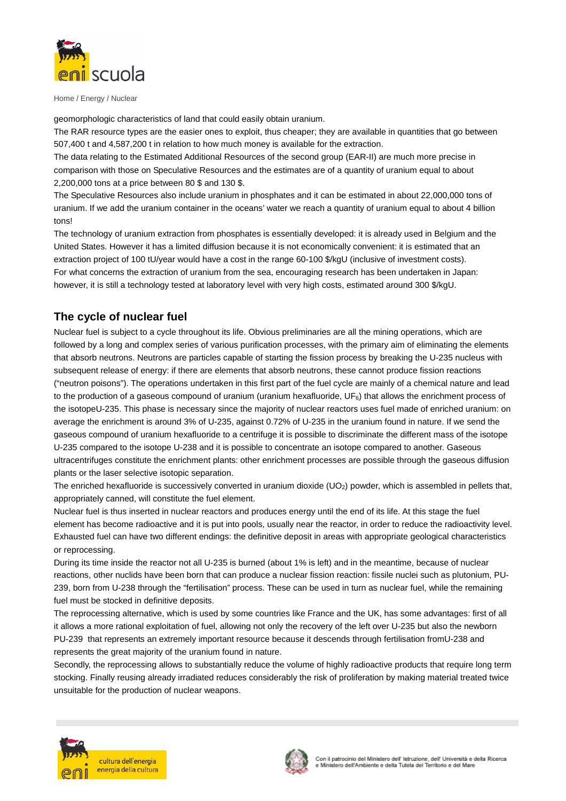

Home / Energy / Nuclear

geomorphologic characteristics of land that could easily obtain uranium.

The RAR resource types are the easier ones to exploit, thus cheaper; they are available in quantities that go between 507,400 t and 4,587,200 t in relation to how much money is available for the extraction.

The data relating to the Estimated Additional Resources of the second group (EAR-II) are much more precise in comparison with those on Speculative Resources and the estimates are of a quantity of uranium equal to about 2,200,000 tons at a price between 80 \$ and 130 \$.

The Speculative Resources also include uranium in phosphates and it can be estimated in about 22,000,000 tons of uranium. If we add the uranium container in the oceans' water we reach a quantity of uranium equal to about 4 billion tons!

The technology of uranium extraction from phosphates is essentially developed: it is already used in Belgium and the United States. However it has a limited diffusion because it is not economically convenient: it is estimated that an extraction project of 100 tU/year would have a cost in the range 60-100 \$/kgU (inclusive of investment costs). For what concerns the extraction of uranium from the sea, encouraging research has been undertaken in Japan: however, it is still a technology tested at laboratory level with very high costs, estimated around 300 \$/kgU.

### **The cycle of nuclear fuel**

Nuclear fuel is subject to a cycle throughout its life. Obvious preliminaries are all the mining operations, which are followed by a long and complex series of various purification processes, with the primary aim of eliminating the elements that absorb neutrons. Neutrons are particles capable of starting the fission process by breaking the U-235 nucleus with subsequent release of energy: if there are elements that absorb neutrons, these cannot produce fission reactions ("neutron poisons"). The operations undertaken in this first part of the fuel cycle are mainly of a chemical nature and lead to the production of a gaseous compound of uranium (uranium hexafluoride,  $UF<sub>6</sub>$ ) that allows the enrichment process of the isotopeU-235. This phase is necessary since the majority of nuclear reactors uses fuel made of enriched uranium: on average the enrichment is around 3% of U-235, against 0.72% of U-235 in the uranium found in nature. If we send the gaseous compound of uranium hexafluoride to a centrifuge it is possible to discriminate the different mass of the isotope U-235 compared to the isotope U-238 and it is possible to concentrate an isotope compared to another. Gaseous ultracentrifuges constitute the enrichment plants: other enrichment processes are possible through the gaseous diffusion plants or the laser selective isotopic separation.

The enriched hexafluoride is successively converted in uranium dioxide  $(UO<sub>2</sub>)$  powder, which is assembled in pellets that, appropriately canned, will constitute the fuel element.

Nuclear fuel is thus inserted in nuclear reactors and produces energy until the end of its life. At this stage the fuel element has become radioactive and it is put into pools, usually near the reactor, in order to reduce the radioactivity level. Exhausted fuel can have two different endings: the definitive deposit in areas with appropriate geological characteristics or reprocessing.

During its time inside the reactor not all U-235 is burned (about 1% is left) and in the meantime, because of nuclear reactions, other nuclids have been born that can produce a nuclear fission reaction: fissile nuclei such as plutonium, PU-239, born from U-238 through the "fertilisation" process. These can be used in turn as nuclear fuel, while the remaining fuel must be stocked in definitive deposits.

The reprocessing alternative, which is used by some countries like France and the UK, has some advantages: first of all it allows a more rational exploitation of fuel, allowing not only the recovery of the left over U-235 but also the newborn PU-239 that represents an extremely important resource because it descends through fertilisation fromU-238 and represents the great majority of the uranium found in nature.

Secondly, the reprocessing allows to substantially reduce the volume of highly radioactive products that require long term stocking. Finally reusing already irradiated reduces considerably the risk of proliferation by making material treated twice unsuitable for the production of nuclear weapons.